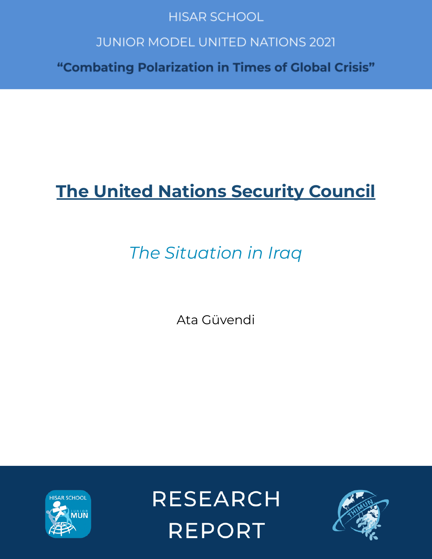# **HISAR SCHOOL**

# **JUNIOR MODEL UNITED NATIONS 2021**

"Combating Polarization in Times of Global Crisis"

# **The United Nations Security Council**

# *The Situation in Iraq*

Ata Güvendi



**RESEARCH REPORT** 

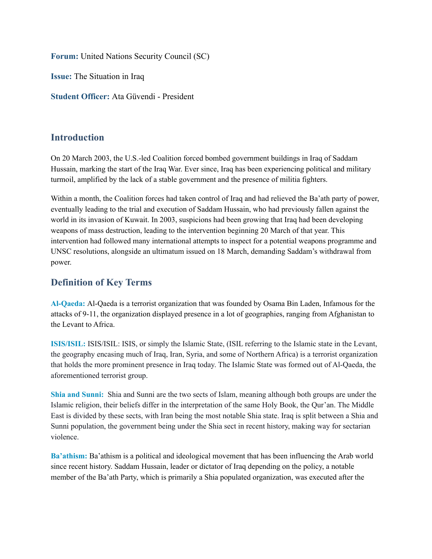**Forum:** United Nations Security Council (SC)

**Issue:** The Situation in Iraq

**Student Officer:** Ata Güvendi - President

#### **Introduction**

On 20 March 2003, the U.S.-led Coalition forced bombed government buildings in Iraq of Saddam Hussain, marking the start of the Iraq War. Ever since, Iraq has been experiencing political and military turmoil, amplified by the lack of a stable government and the presence of militia fighters.

Within a month, the Coalition forces had taken control of Iraq and had relieved the Ba'ath party of power, eventually leading to the trial and execution of Saddam Hussain, who had previously fallen against the world in its invasion of Kuwait. In 2003, suspicions had been growing that Iraq had been developing weapons of mass destruction, leading to the intervention beginning 20 March of that year. This intervention had followed many international attempts to inspect for a potential weapons programme and UNSC resolutions, alongside an ultimatum issued on 18 March, demanding Saddam's withdrawal from power.

# **Definition of Key Terms**

**Al-Qaeda:** Al-Qaeda is a terrorist organization that was founded by Osama Bin Laden, Infamous for the attacks of 9-11, the organization displayed presence in a lot of geographies, ranging from Afghanistan to the Levant to Africa.

**ISIS/ISIL:** ISIS/ISIL: ISIS, or simply the Islamic State, (ISIL referring to the Islamic state in the Levant, the geography encasing much of Iraq, Iran, Syria, and some of Northern Africa) is a terrorist organization that holds the more prominent presence in Iraq today. The Islamic State was formed out of Al-Qaeda, the aforementioned terrorist group.

**Shia and Sunni:** Shia and Sunni are the two sects of Islam, meaning although both groups are under the Islamic religion, their beliefs differ in the interpretation of the same Holy Book, the Qur'an. The Middle East is divided by these sects, with Iran being the most notable Shia state. Iraq is split between a Shia and Sunni population, the government being under the Shia sect in recent history, making way for sectarian violence.

**Ba'athism:** Ba'athism is a political and ideological movement that has been influencing the Arab world since recent history. Saddam Hussain, leader or dictator of Iraq depending on the policy, a notable member of the Ba'ath Party, which is primarily a Shia populated organization, was executed after the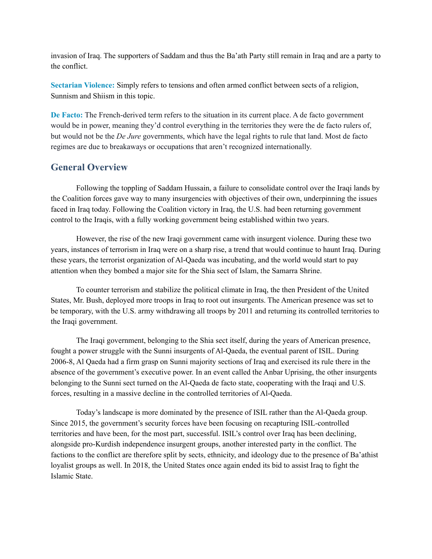invasion of Iraq. The supporters of Saddam and thus the Ba'ath Party still remain in Iraq and are a party to the conflict.

**Sectarian Violence:** Simply refers to tensions and often armed conflict between sects of a religion, Sunnism and Shiism in this topic.

**De Facto:** The French-derived term refers to the situation in its current place. A de facto government would be in power, meaning they'd control everything in the territories they were the de facto rulers of, but would not be the *De Jure* governments, which have the legal rights to rule that land. Most de facto regimes are due to breakaways or occupations that aren't recognized internationally.

### **General Overview**

Following the toppling of Saddam Hussain, a failure to consolidate control over the Iraqi lands by the Coalition forces gave way to many insurgencies with objectives of their own, underpinning the issues faced in Iraq today. Following the Coalition victory in Iraq, the U.S. had been returning government control to the Iraqis, with a fully working government being established within two years.

However, the rise of the new Iraqi government came with insurgent violence. During these two years, instances of terrorism in Iraq were on a sharp rise, a trend that would continue to haunt Iraq. During these years, the terrorist organization of Al-Qaeda was incubating, and the world would start to pay attention when they bombed a major site for the Shia sect of Islam, the Samarra Shrine.

To counter terrorism and stabilize the political climate in Iraq, the then President of the United States, Mr. Bush, deployed more troops in Iraq to root out insurgents. The American presence was set to be temporary, with the U.S. army withdrawing all troops by 2011 and returning its controlled territories to the Iraqi government.

The Iraqi government, belonging to the Shia sect itself, during the years of American presence, fought a power struggle with the Sunni insurgents of Al-Qaeda, the eventual parent of ISIL. During 2006-8, Al Qaeda had a firm grasp on Sunni majority sections of Iraq and exercised its rule there in the absence of the government's executive power. In an event called the Anbar Uprising, the other insurgents belonging to the Sunni sect turned on the Al-Qaeda de facto state, cooperating with the Iraqi and U.S. forces, resulting in a massive decline in the controlled territories of Al-Qaeda.

Today's landscape is more dominated by the presence of ISIL rather than the Al-Qaeda group. Since 2015, the government's security forces have been focusing on recapturing ISIL-controlled territories and have been, for the most part, successful. ISIL's control over Iraq has been declining, alongside pro-Kurdish independence insurgent groups, another interested party in the conflict. The factions to the conflict are therefore split by sects, ethnicity, and ideology due to the presence of Ba'athist loyalist groups as well. In 2018, the United States once again ended its bid to assist Iraq to fight the Islamic State.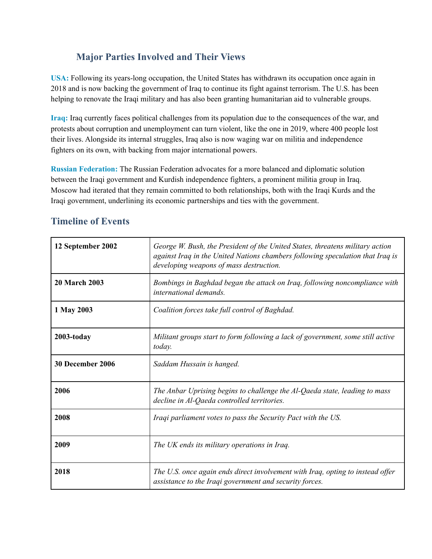# **Major Parties Involved and Their Views**

**USA:** Following its years-long occupation, the United States has withdrawn its occupation once again in 2018 and is now backing the government of Iraq to continue its fight against terrorism. The U.S. has been helping to renovate the Iraqi military and has also been granting humanitarian aid to vulnerable groups.

**Iraq:** Iraq currently faces political challenges from its population due to the consequences of the war, and protests about corruption and unemployment can turn violent, like the one in 2019, where 400 people lost their lives. Alongside its internal struggles, Iraq also is now waging war on militia and independence fighters on its own, with backing from major international powers.

**Russian Federation:** The Russian Federation advocates for a more balanced and diplomatic solution between the Iraqi government and Kurdish independence fighters, a prominent militia group in Iraq. Moscow had iterated that they remain committed to both relationships, both with the Iraqi Kurds and the Iraqi government, underlining its economic partnerships and ties with the government.

| 12 September 2002    | George W. Bush, the President of the United States, threatens military action<br>against Iraq in the United Nations chambers following speculation that Iraq is<br>developing weapons of mass destruction. |
|----------------------|------------------------------------------------------------------------------------------------------------------------------------------------------------------------------------------------------------|
| <b>20 March 2003</b> | Bombings in Baghdad began the attack on Iraq, following noncompliance with<br><i>international demands.</i>                                                                                                |
| 1 May 2003           | Coalition forces take full control of Baghdad.                                                                                                                                                             |
| 2003-today           | Militant groups start to form following a lack of government, some still active<br>today.                                                                                                                  |
| 30 December 2006     | Saddam Hussain is hanged.                                                                                                                                                                                  |
| 2006                 | The Anbar Uprising begins to challenge the Al-Qaeda state, leading to mass<br>decline in Al-Qaeda controlled territories.                                                                                  |
| 2008                 | Iraqi parliament votes to pass the Security Pact with the US.                                                                                                                                              |
| 2009                 | The UK ends its military operations in Iraq.                                                                                                                                                               |
| 2018                 | The U.S. once again ends direct involvement with Iraq, opting to instead offer<br>assistance to the Iraqi government and security forces.                                                                  |

# **Timeline of Events**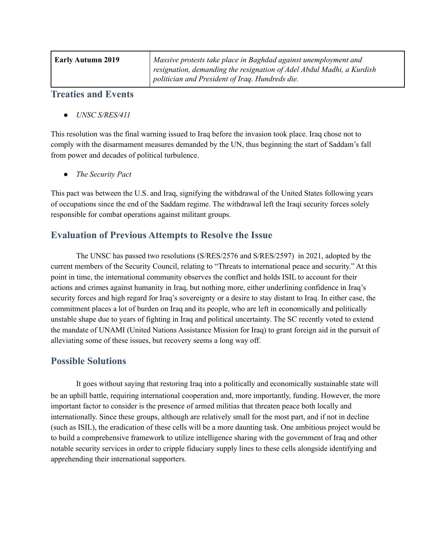| Early Autumn 2019 | Massive protests take place in Baghdad against unemployment and<br>resignation, demanding the resignation of Adel Abdul Madhi, a Kurdish<br>politician and President of Iraq. Hundreds die. |
|-------------------|---------------------------------------------------------------------------------------------------------------------------------------------------------------------------------------------|
|                   |                                                                                                                                                                                             |

#### **Treaties and Events**

*● UNSC S/RES/411*

This resolution was the final warning issued to Iraq before the invasion took place. Iraq chose not to comply with the disarmament measures demanded by the UN, thus beginning the start of Saddam's fall from power and decades of political turbulence.

*● The Security Pact*

This pact was between the U.S. and Iraq, signifying the withdrawal of the United States following years of occupations since the end of the Saddam regime. The withdrawal left the Iraqi security forces solely responsible for combat operations against militant groups.

### **Evaluation of Previous Attempts to Resolve the Issue**

The UNSC has passed two resolutions (S/RES/2576 and S/RES/2597) in 2021, adopted by the current members of the Security Council, relating to "Threats to international peace and security." At this point in time, the international community observes the conflict and holds ISIL to account for their actions and crimes against humanity in Iraq, but nothing more, either underlining confidence in Iraq's security forces and high regard for Iraq's sovereignty or a desire to stay distant to Iraq. In either case, the commitment places a lot of burden on Iraq and its people, who are left in economically and politically unstable shape due to years of fighting in Iraq and political uncertainty. The SC recently voted to extend the mandate of UNAMI (United Nations Assistance Mission for Iraq) to grant foreign aid in the pursuit of alleviating some of these issues, but recovery seems a long way off.

## **Possible Solutions**

It goes without saying that restoring Iraq into a politically and economically sustainable state will be an uphill battle, requiring international cooperation and, more importantly, funding. However, the more important factor to consider is the presence of armed militias that threaten peace both locally and internationally. Since these groups, although are relatively small for the most part, and if not in decline (such as ISIL), the eradication of these cells will be a more daunting task. One ambitious project would be to build a comprehensive framework to utilize intelligence sharing with the government of Iraq and other notable security services in order to cripple fiduciary supply lines to these cells alongside identifying and apprehending their international supporters.